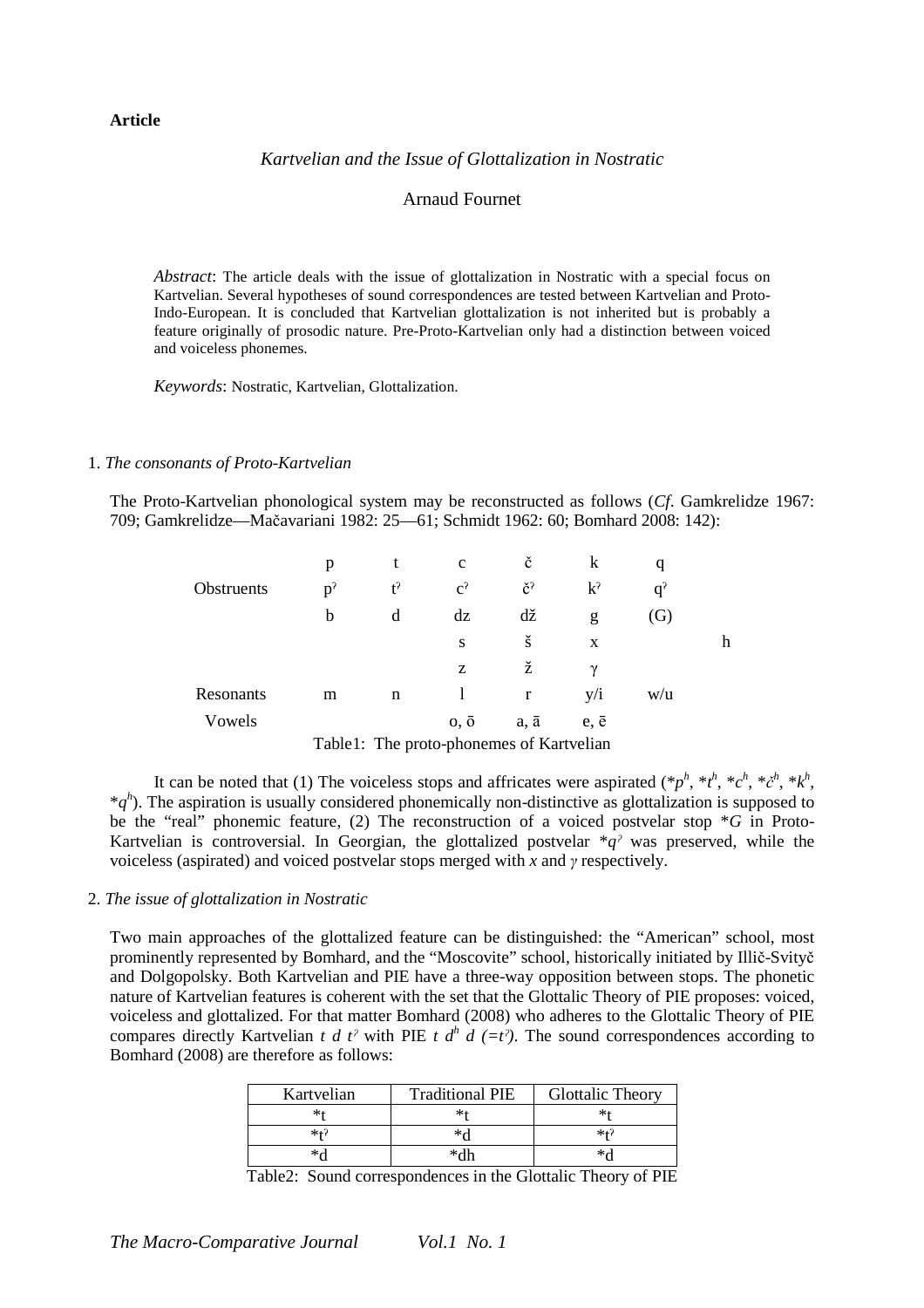# **Article**

### *Kartvelian and the Issue of Glottalization in Nostratic*

## Arnaud Fournet

*Abstract*: The article deals with the issue of glottalization in Nostratic with a special focus on Kartvelian. Several hypotheses of sound correspondences are tested between Kartvelian and Proto-Indo-European. It is concluded that Kartvelian glottalization is not inherited but is probably a feature originally of prosodic nature. Pre-Proto-Kartvelian only had a distinction between voiced and voiceless phonemes.

*Keywords*: Nostratic, Kartvelian, Glottalization.

#### 1. *The consonants of Proto-Kartvelian*

The Proto-Kartvelian phonological system may be reconstructed as follows (*Cf*. Gamkrelidze 1967: 709; Gamkrelidze—Mačavariani 1982: 25—61; Schmidt 1962: 60; Bomhard 2008: 142):

|            |       | t     | $\mathbf{C}$                                                                             | č              | k            | q                 |   |
|------------|-------|-------|------------------------------------------------------------------------------------------|----------------|--------------|-------------------|---|
| Obstruents | $p^2$ | $t^2$ | $c^2$                                                                                    | č <sup>?</sup> | $k^2$        | $q^2$             |   |
|            | b     | d     | dz                                                                                       | dž             | g            | $\left( G\right)$ |   |
|            |       |       | S                                                                                        | š              | X            |                   | h |
|            |       |       | Z                                                                                        | ž              | $\gamma$     |                   |   |
| Resonants  | m     | n     |                                                                                          | r              | y/i          | W/u               |   |
| Vowels     |       |       | $0, \bar{0}$                                                                             | a, ā           | $e, \bar{e}$ |                   |   |
|            |       |       | $\text{TP}$ , 1.1.1.1. $\text{TPL}$ , and is a strong sector of $\text{P}$ , and it is a |                |              |                   |   |

Table1: The proto-phonemes of Kartvelian

It can be noted that (1) The voiceless stops and affricates were aspirated  $(*p^h, *t^h, *c^h, *c^h, *k^h,$  $*q<sup>h</sup>$ ). The aspiration is usually considered phonemically non-distinctive as glottalization is supposed to be the "real" phonemic feature, (2) The reconstruction of a voiced postvelar stop \**G* in Proto-Kartvelian is controversial. In Georgian, the glottalized postvelar  $\overline{a}$ <sup>*a*</sup> was preserved, while the voiceless (aspirated) and voiced postvelar stops merged with *x* and *γ* respectively.

#### 2. *The issue of glottalization in Nostratic*

Two main approaches of the glottalized feature can be distinguished: the "American" school, most prominently represented by Bomhard, and the "Moscovite" school, historically initiated by Illič-Svityč and Dolgopolsky. Both Kartvelian and PIE have a three-way opposition between stops. The phonetic nature of Kartvelian features is coherent with the set that the Glottalic Theory of PIE proposes: voiced, voiceless and glottalized. For that matter Bomhard (2008) who adheres to the Glottalic Theory of PIE compares directly Kartvelian *t d t<sup>2</sup>* with PIE *t d<sup>h</sup> d* (=*t<sup>2</sup>*). The sound correspondences according to Bomhard (2008) are therefore as follows:

| Kartvelian | <b>Traditional PIE</b> | <b>Glottalic Theory</b> |
|------------|------------------------|-------------------------|
| ∗∗         |                        | ∗⊀                      |
| *+?        | ∗⊿                     | $*f$                    |
| ا∩∗        | ∗dh                    | ∗√                      |

Table2: Sound correspondences in the Glottalic Theory of PIE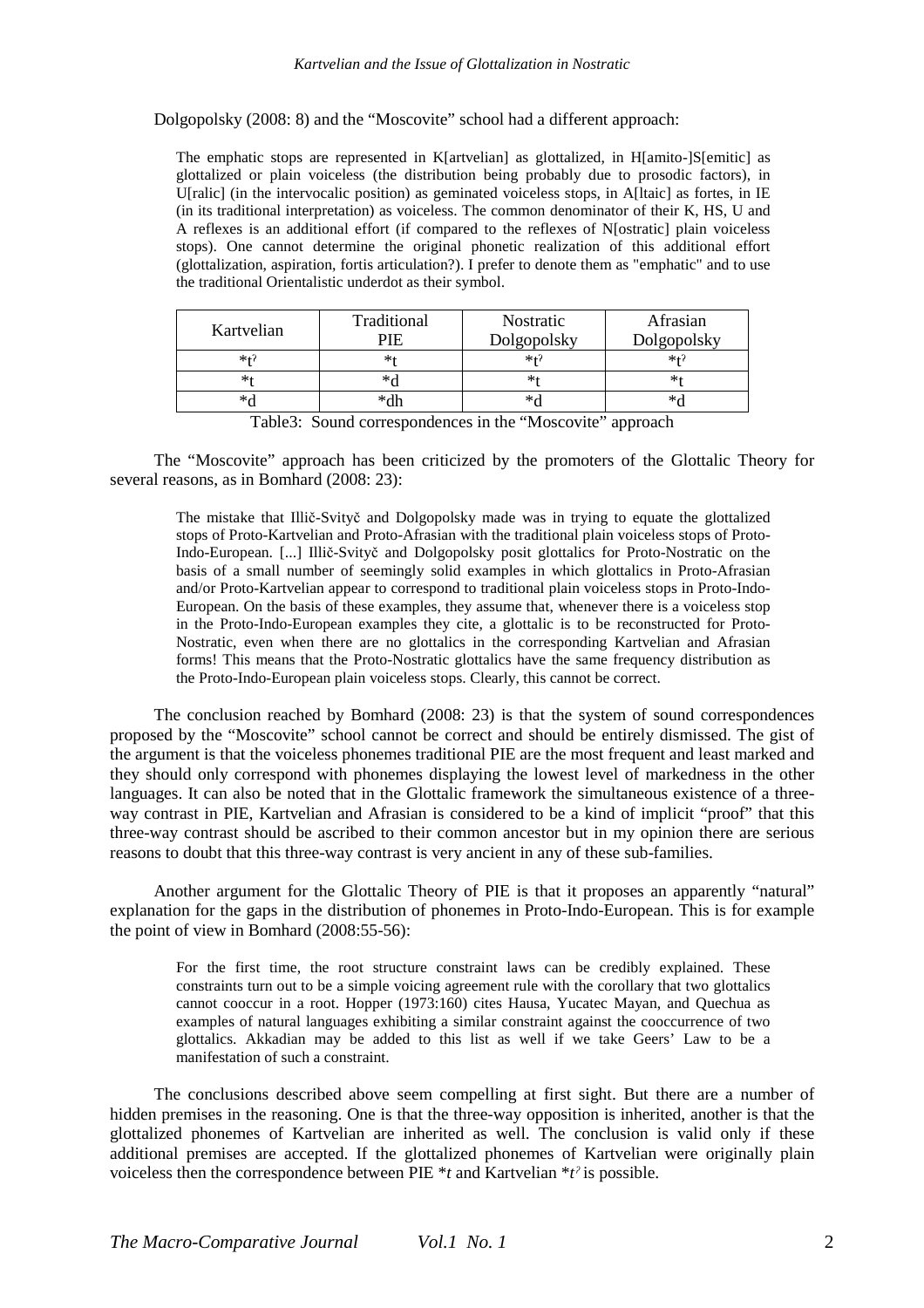Dolgopolsky (2008: 8) and the "Moscovite" school had a different approach:

The emphatic stops are represented in K[artvelian] as glottalized, in H[amito-]S[emitic] as glottalized or plain voiceless (the distribution being probably due to prosodic factors), in U[ralic] (in the intervocalic position) as geminated voiceless stops, in A[Itaic] as fortes, in IE (in its traditional interpretation) as voiceless. The common denominator of their K, HS, U and A reflexes is an additional effort (if compared to the reflexes of N[ostratic] plain voiceless stops). One cannot determine the original phonetic realization of this additional effort (glottalization, aspiration, fortis articulation?). I prefer to denote them as "emphatic" and to use the traditional Orientalistic underdot as their symbol.

| Kartvelian | Traditional              | Nostratic                                  | Afrasian    |
|------------|--------------------------|--------------------------------------------|-------------|
|            | PIE                      | Dolgopolsky                                | Dolgopolsky |
| $*+?$      | *1                       | $*+7$                                      | $*$         |
|            | *∩                       | ∗                                          |             |
| ∗∝         | *dh                      | $*_c$                                      |             |
| — 11 A A   | $\overline{\phantom{a}}$ | $\cdot$<br>$\cdot$ $\cdot$ $\cdot$ $\cdot$ |             |

|  |  |  |  |  | Table3: Sound correspondences in the "Moscovite" approach |  |
|--|--|--|--|--|-----------------------------------------------------------|--|
|--|--|--|--|--|-----------------------------------------------------------|--|

The "Moscovite" approach has been criticized by the promoters of the Glottalic Theory for several reasons, as in Bomhard (2008: 23):

The mistake that Illič-Svityč and Dolgopolsky made was in trying to equate the glottalized stops of Proto-Kartvelian and Proto-Afrasian with the traditional plain voiceless stops of Proto-Indo-European. [...] Illič-Svityč and Dolgopolsky posit glottalics for Proto-Nostratic on the basis of a small number of seemingly solid examples in which glottalics in Proto-Afrasian and/or Proto-Kartvelian appear to correspond to traditional plain voiceless stops in Proto-Indo-European. On the basis of these examples, they assume that, whenever there is a voiceless stop in the Proto-Indo-European examples they cite, a glottalic is to be reconstructed for Proto-Nostratic, even when there are no glottalics in the corresponding Kartvelian and Afrasian forms! This means that the Proto-Nostratic glottalics have the same frequency distribution as the Proto-Indo-European plain voiceless stops. Clearly, this cannot be correct.

The conclusion reached by Bomhard (2008: 23) is that the system of sound correspondences proposed by the "Moscovite" school cannot be correct and should be entirely dismissed. The gist of the argument is that the voiceless phonemes traditional PIE are the most frequent and least marked and they should only correspond with phonemes displaying the lowest level of markedness in the other languages. It can also be noted that in the Glottalic framework the simultaneous existence of a threeway contrast in PIE. Kartvelian and Afrasian is considered to be a kind of implicit "proof" that this three-way contrast should be ascribed to their common ancestor but in my opinion there are serious reasons to doubt that this three-way contrast is very ancient in any of these sub-families.

Another argument for the Glottalic Theory of PIE is that it proposes an apparently "natural" explanation for the gaps in the distribution of phonemes in Proto-Indo-European. This is for example the point of view in Bomhard (2008:55-56):

For the first time, the root structure constraint laws can be credibly explained. These constraints turn out to be a simple voicing agreement rule with the corollary that two glottalics cannot cooccur in a root. Hopper (1973:160) cites Hausa, Yucatec Mayan, and Quechua as examples of natural languages exhibiting a similar constraint against the cooccurrence of two glottalics. Akkadian may be added to this list as well if we take Geers' Law to be a manifestation of such a constraint.

The conclusions described above seem compelling at first sight. But there are a number of hidden premises in the reasoning. One is that the three-way opposition is inherited, another is that the glottalized phonemes of Kartvelian are inherited as well. The conclusion is valid only if these additional premises are accepted. If the glottalized phonemes of Kartvelian were originally plain voiceless then the correspondence between PIE \**t* and Kartvelian \**tˀ* is possible.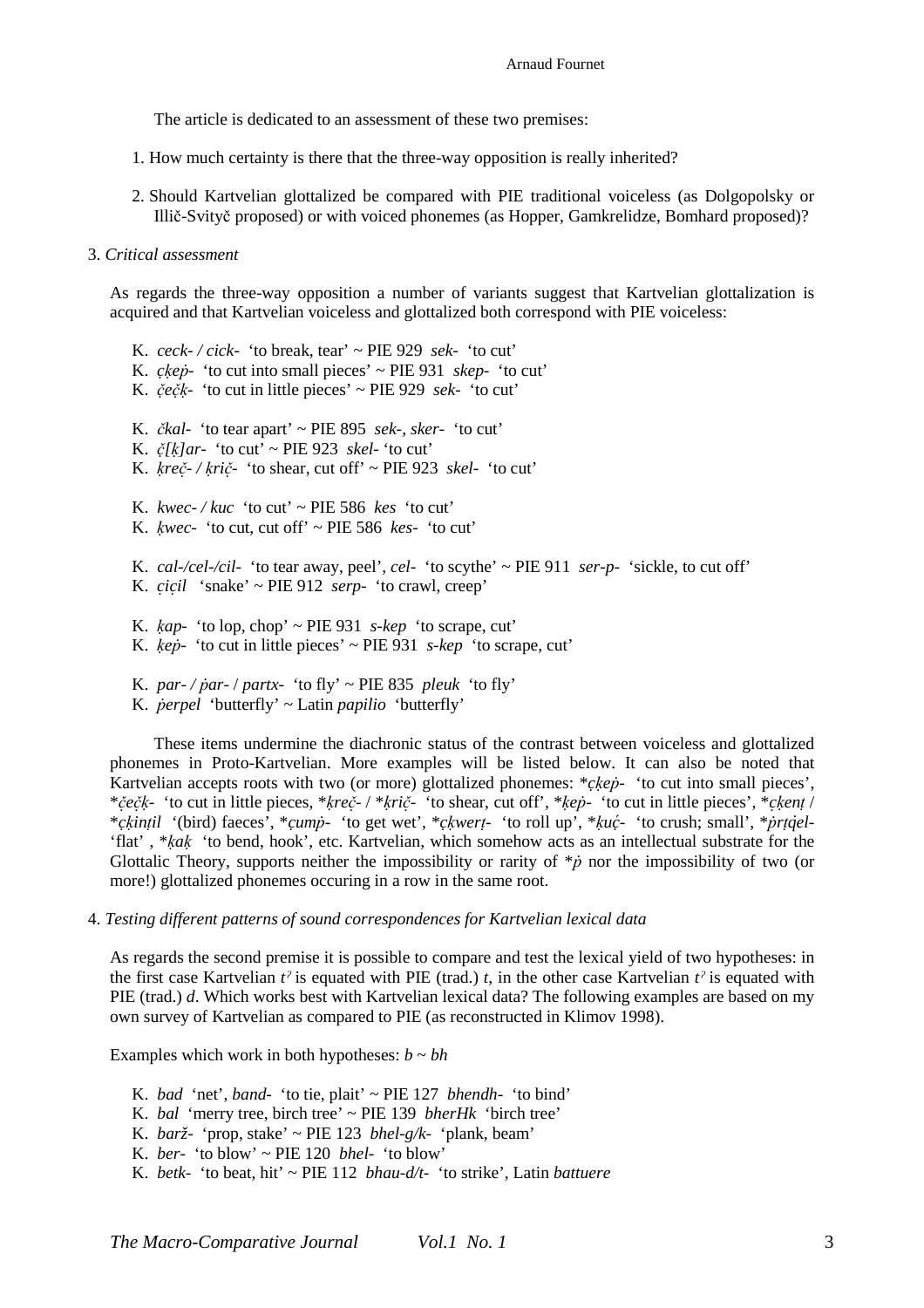The article is dedicated to an assessment of these two premises:

- 1. How much certainty is there that the three-way opposition is really inherited?
- 2. Should Kartvelian glottalized be compared with PIE traditional voiceless (as Dolgopolsky or Illič-Svityč proposed) or with voiced phonemes (as Hopper, Gamkrelidze, Bomhard proposed)?

## 3. *Critical assessment*

As regards the three-way opposition a number of variants suggest that Kartvelian glottalization is acquired and that Kartvelian voiceless and glottalized both correspond with PIE voiceless:

K. *ceck- / cick-* 'to break, tear' ~ PIE 929 *sek-* 'to cut' K. *ckep*- 'to cut into small pieces'  $\sim$  PIE 931 *skep*- 'to cut' K. *čẹ čḳ̣ -* 'to cut in little pieces' ~ PIE 929 *sek-* 'to cut' K. *čkal-* 'to tear apart' ~ PIE 895 *sek-, sker-* 'to cut' K.  $\check{c}/k$  ar- 'to cut' ~ PIE 923 *skel-* 'to cut' K.  $\frac{kr}{c^2}$  /  $\frac{kr}{c^2}$  · to shear, cut off  $\sim$  PIE 923 *skel-* 'to cut' K.  $kwec$ -/ $kuc$  'to cut' ~ PIE 586  $kes$  'to cut' K. *ḳwec-* 'to cut, cut off' ~ PIE 586 *kes-* 'to cut' K. *cal-/cel-/cil-* 'to tear away, peel', *cel-* 'to scythe' ~ PIE 911 *ser-p-* 'sickle, to cut off' K. *cic̣ il ̣* 'snake' ~ PIE 912 *serp-* 'to crawl, creep' K. *ḳap-* 'to lop, chop' ~ PIE 931 *s-kep* 'to scrape, cut' K. *ḳeṗ-* 'to cut in little pieces' ~ PIE 931 *s-kep* 'to scrape, cut' K. *par-* / *par-* / *partx-* 'to fly' ~ PIE 835 *pleuk* 'to fly'

K. *ṗerpel* 'butterfly' ~ Latin *papilio* 'butterfly'

These items undermine the diachronic status of the contrast between voiceless and glottalized phonemes in Proto-Kartvelian. More examples will be listed below. It can also be noted that Kartvelian accepts roots with two (or more) glottalized phonemes: \**ckep*- 'to cut into small pieces', \*čečk- 'to cut in little pieces, \*kreč- / \*krič- 'to shear, cut off', \*kep- 'to cut in little pieces', \*ckent / \*ckintil '(bird) faeces', \*cump- 'to get wet', \*ckwert- 'to roll up', \*kuc- 'to crush; small', \*prtqel-'flat' , \**ḳaḳ* 'to bend, hook', etc. Kartvelian, which somehow acts as an intellectual substrate for the Glottalic Theory, supports neither the impossibility or rarity of \**ṗ* nor the impossibility of two (or more!) glottalized phonemes occuring in a row in the same root.

4. *Testing different patterns of sound correspondences for Kartvelian lexical data* 

As regards the second premise it is possible to compare and test the lexical yield of two hypotheses: in the first case Kartvelian  $t^2$  is equated with PIE (trad.) *t*, in the other case Kartvelian  $t^2$  is equated with PIE (trad.) *d*. Which works best with Kartvelian lexical data? The following examples are based on my own survey of Kartvelian as compared to PIE (as reconstructed in Klimov 1998).

Examples which work in both hypotheses:  $b \sim bh$ 

- K. *bad* 'net', *band-* 'to tie, plait' ~ PIE 127 *bhendh-* 'to bind'
- K. *bal* 'merry tree, birch tree' ~ PIE 139 *bherHk* 'birch tree'
- K. *barž-* 'prop, stake' ~ PIE 123 *bhel-g/k-* 'plank, beam'
- K. *ber-* 'to blow' ~ PIE 120 *bhel-* 'to blow'
- K. *betk-* 'to beat, hit' ~ PIE 112 *bhau-d/t-* 'to strike', Latin *battuere*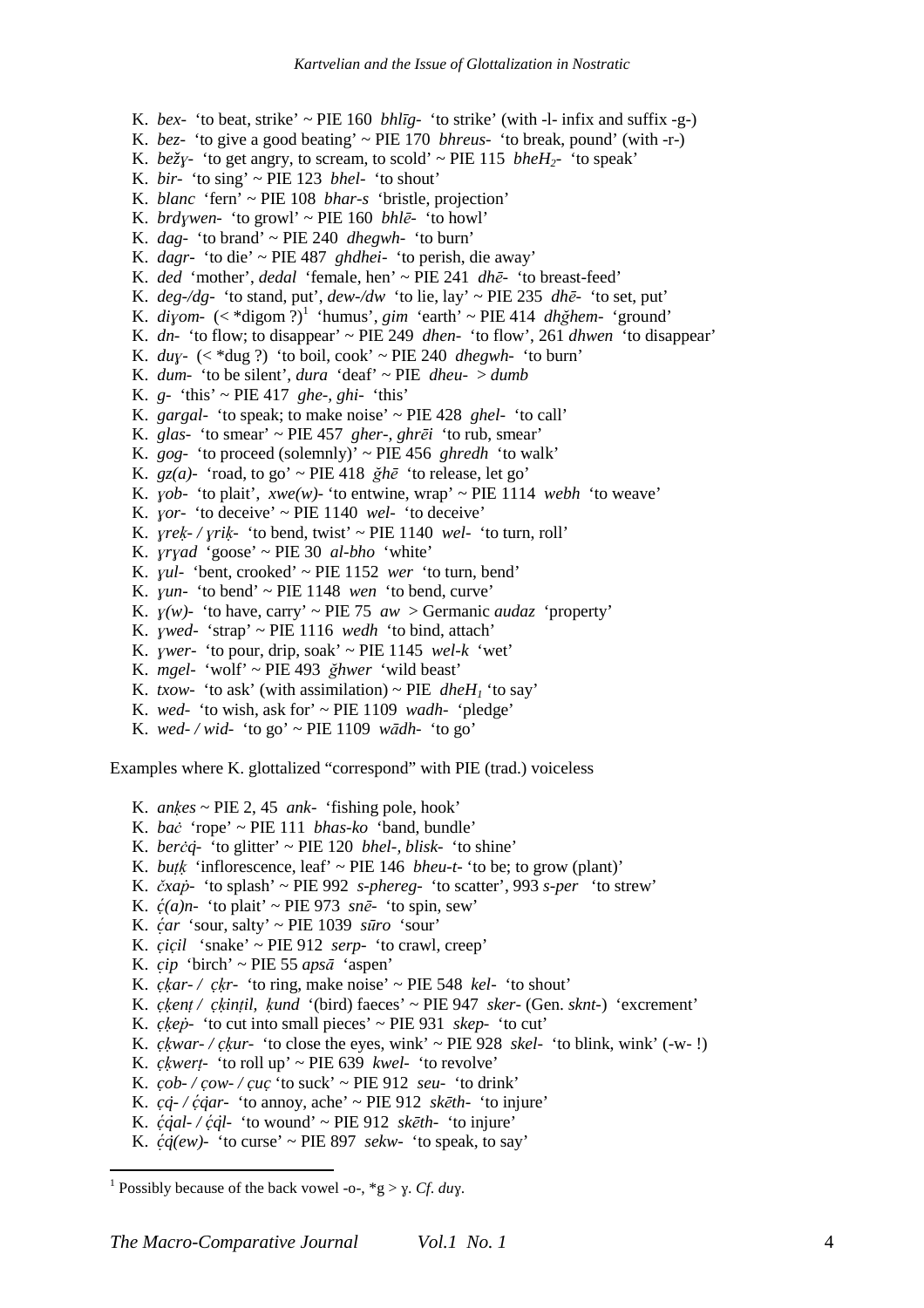K. *bex-* 'to beat, strike' ~ PIE 160 *bhlīg-* 'to strike' (with -l- infix and suffix -g-) K. *bez-* 'to give a good beating' ~ PIE 170 *bhreus-* 'to break, pound' (with -r-) K. *be* $\zeta$ <sup>*y*</sup>- 'to get angry, to scream, to scold' ~ PIE 115 *bheH*<sub>2</sub>- 'to speak' K. *bir-* 'to sing' ~ PIE 123 *bhel-* 'to shout' K. *blanc* 'fern' ~ PIE 108 *bhar-s* 'bristle, projection' K. *brdɣwen-* 'to growl' ~ PIE 160 *bhlē-* 'to howl' K. *dag-* 'to brand' ~ PIE 240 *dhegwh-* 'to burn' K. *dagr-* 'to die' ~ PIE 487 *ghdhei-* 'to perish, die away' K. *ded* 'mother', *dedal* 'female, hen' ~ PIE 241 *dhē-* 'to breast-feed' K.  $deg\text{-}/dg$ - 'to stand, put',  $dew\text{-}/dw$  'to lie, lay' ~ PIE 235  $dh\bar{e}$ - 'to set, put' K.  $di\gamma$ *om*-  $(\langle$  \*digom ?)<sup>1</sup> 'humus', *gim* 'earth' ~ PIE 414 *dhğhem*- 'ground' K. *dn-* 'to flow; to disappear' ~ PIE 249 *dhen-* 'to flow', 261 *dhwen* 'to disappear' K. *duɣ-* (< \*dug ?) 'to boil, cook' ~ PIE 240 *dhegwh-* 'to burn' K. *dum-* 'to be silent', *dura* 'deaf' ~ PIE *dheu-* > *dumb* K. *g-* 'this' ~ PIE 417 *ghe-, ghi-* 'this' K. *gargal-* 'to speak; to make noise' ~ PIE 428 *ghel-* 'to call' K. *glas-* 'to smear' ~ PIE 457 *gher-, ghrēi* 'to rub, smear' K. *gog-* 'to proceed (solemnly)' ~ PIE 456 *ghredh* 'to walk' K.  $gz(a)$ - 'road, to go' ~ PIE 418  $\check{g}h\bar{e}$  'to release, let go' K. *yob*- 'to plait', *xwe(w)*- 'to entwine, wrap'  $\sim$  PIE 1114 *webh* 'to weave' K. *yor-* 'to deceive'  $\sim$  PIE 1140 *wel-* 'to deceive' K. *ɣreḳ- / ɣriḳ-* 'to bend, twist' ~ PIE 1140 *wel-* 'to turn, roll' K. *ɣrɣad* 'goose' ~ PIE 30 *al-bho* 'white' K. *ɣul-* 'bent, crooked' ~ PIE 1152 *wer* 'to turn, bend' K. *ɣun-* 'to bend' ~ PIE 1148 *wen* 'to bend, curve' K.  $y(w)$ - 'to have, carry' ~ PIE 75 *aw* > Germanic *audaz* 'property' K. *ɣwed-* 'strap' ~ PIE 1116 *wedh* 'to bind, attach' K. *ywer*- 'to pour, drip, soak'  $\sim$  PIE 1145 *wel-k* 'wet' K. *mgel-* 'wolf' ~ PIE 493 *ğhwer* 'wild beast' K. *txow-* 'to ask' (with assimilation) ~ PIE *dheH<sub>1</sub>* 'to say'

- K. *wed-* 'to wish, ask for' ~ PIE 1109 *wadh-* 'pledge'
- K. *wed- / wid-* 'to go' ~ PIE 1109 *wādh-* 'to go'

Examples where K. glottalized "correspond" with PIE (trad.) voiceless

- K. *anḳes* ~ PIE 2, 45 *ank* 'fishing pole, hook'
- K. *baċ* 'rope' ~ PIE 111 *bhas-ko* 'band, bundle'
- K. *berċq̇-* 'to glitter' ~ PIE 120 *bhel-, blisk-* 'to shine'
- K. *butk* 'inflorescence, leaf' ~ PIE 146 *bheu-t-* 'to be; to grow (plant)'
- K. *čxaṗ* 'to splash' ~ PIE 992 *s-phereg-* 'to scatter', 993 *s-per* 'to strew'
- K.  $\dot{c}(a)n$  'to plait' ~ PIE 973 *snē* 'to spin, sew'
- K. *c ̣ ́ar* 'sour, salty' ~ PIE 1039 *sūro* 'sour'
- K. *cic̣ il ̣* 'snake' ~ PIE 912 *serp-* 'to crawl, creep'
- K.  $cip$  'birch' ~ PIE 55 *aps* $\bar{a}$  'aspen'
- K. *ckar- / ckr-* 'to ring, make noise'  $\sim$  PIE 548 *kel-* 'to shout'
- K. *cḳ̣ enṭ / cḳ̣ inṭil, ḳund* '(bird) faeces' ~ PIE 947 *sker-* (Gen. *sknt-*) 'excrement'
- K. *cḳ̣ eṗ-* 'to cut into small pieces' ~ PIE 931 *skep-* 'to cut'
- K. *ckwar-/ ckur-* 'to close the eyes, wink' ~ PIE 928 *skel-* 'to blink, wink' (-w-!)
- K. *cḳ̣ werṭ-* 'to roll up' ~ PIE 639 *kwel-* 'to revolve'
- K.  $\frac{\cosh\theta}{\cosh\theta}$  /  $\frac{\cosh\theta}{\cosh\theta}$   $\frac{\cosh\theta}{\cosh\theta}$   $\frac{\cosh\theta}{\cosh\theta}$   $\frac{\cosh\theta}{\cosh\theta}$   $\frac{\cosh\theta}{\cosh\theta}$
- K.  $cq$ <sup>*-*</sup> /  $\acute{c}q$ <sup>*ar*</sup> · 'to annoy, ache' ~ PIE 912 *skēth* · 'to injure'
- K.  $\frac{\dot{c}}{\dot{q}}$ *dl-*  $\frac{\dot{c}}{\dot{q}}$  to wound' ~ PIE 912 *skēth* 'to injure'
- K.  $\dot{c}q(ew)$  'to curse' ~ PIE 897 *sekw* 'to speak, to say'

 $\overline{a}$ 

<sup>&</sup>lt;sup>1</sup> Possibly because of the back vowel -o-,  $*g > \gamma$ . *Cf. duy*.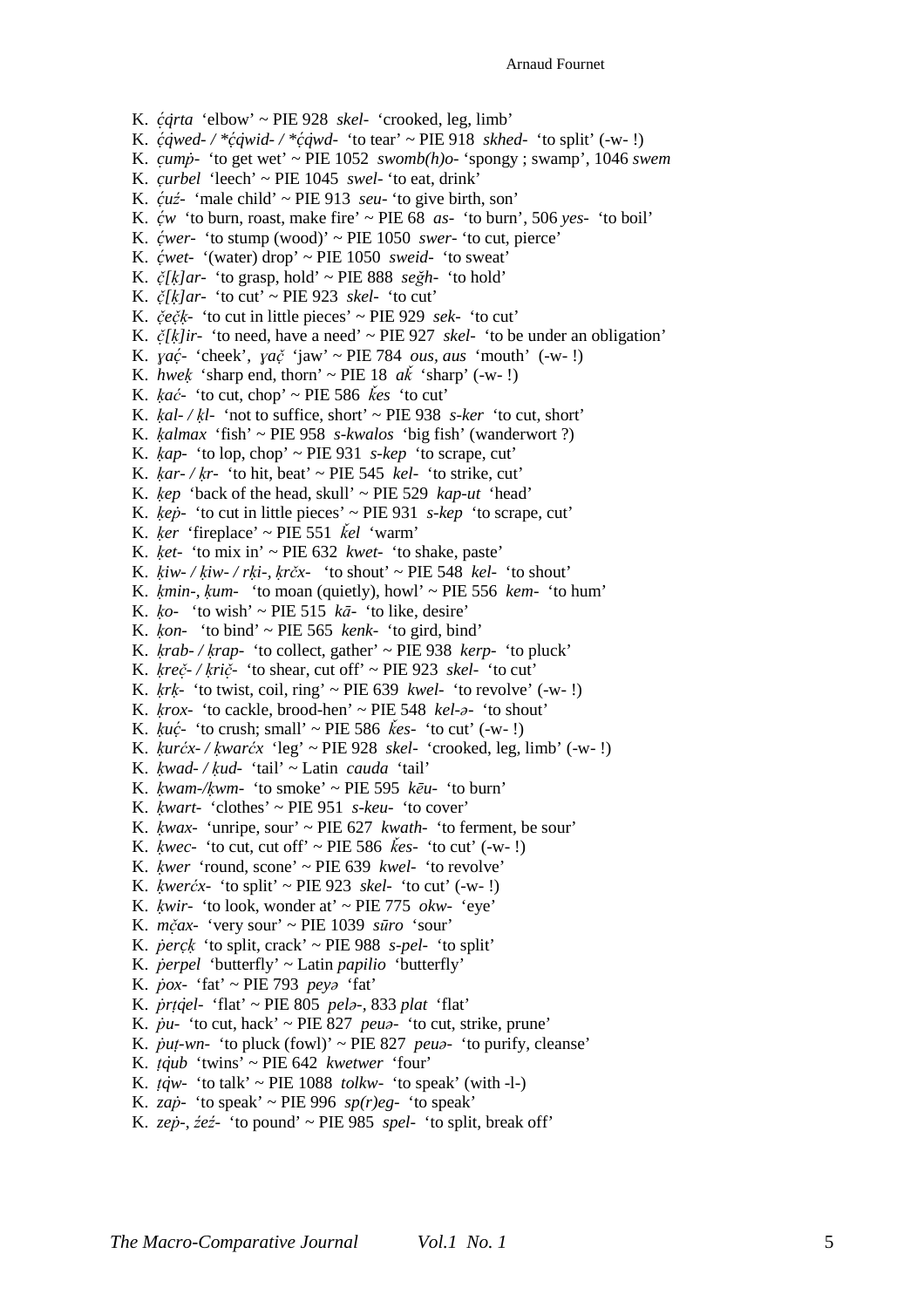K. *c ̣ ́q̇rta* 'elbow' ~ PIE 928 *skel-* 'crooked, leg, limb' K.  $\acute{c}$ *qwed-* / \* $\acute{c}$ *qwid-* / \* $\acute{c}$ *qwd-* 'to tear' ~ PIE 918 *skhed-* 'to split' (-w-!) K. *cuṃ ṗ-* 'to get wet' ~ PIE 1052 *swomb(h)o-* 'spongy ; swamp', 1046 *swem* K. *curbel ̣* 'leech' ~ PIE 1045 *swel-* 'to eat, drink' K.  $\dot{\mathcal{L}}$ *uź*- 'male child' ~ PIE 913 *seu*- 'to give birth, son' K.  $\acute{c}w$  'to burn, roast, make fire'  $\sim$  PIE 68 *as*- 'to burn', 506 *yes*- 'to boil' K. *c ̣ ́wer-* 'to stump (wood)' ~ PIE 1050 *swer-* 'to cut, pierce' K. *c ̣ ́wet-* '(water) drop' ~ PIE 1050 *sweid-* 'to sweat' K.  $\zeta$ [k]ar- 'to grasp, hold' ~ PIE 888 *seğh*- 'to hold' K. *č[̣ ḳ]ar-* 'to cut' ~ PIE 923 *skel-* 'to cut' K. *čẹ čḳ̣ -* 'to cut in little pieces' ~ PIE 929 *sek-* 'to cut' K.  $\check{c}/\check{k}/\check{l}$  <sup>t</sup>to need, have a need'  $\sim$  PIE 927 *skel-'* to be under an obligation' K. *ɣac ̣ ́-* 'cheek', *ɣač* 'jaw' ~ PIE 784 *̣ ous, aus* 'mouth' (-w- !) K. *hwek* 'sharp end, thorn' ~ PIE 18  $a\vec{k}$  'sharp' (-w-!) K.  $kac$ <sup>*-*</sup> 'to cut, chop' ~ PIE 586  $k\acute{e}s$  'to cut' K. *ḳal- / ḳl-* 'not to suffice, short' ~ PIE 938 *s-ker* 'to cut, short' K. *ḳalmax* 'fish' ~ PIE 958 *s-kwalos* 'big fish' (wanderwort ?) K. *ḳap-* 'to lop, chop' ~ PIE 931 *s-kep* 'to scrape, cut' K.  $kar$ - / $kr$ - 'to hit, beat' ~ PIE 545  $kel$ - 'to strike, cut' K. *ḳep* 'back of the head, skull' ~ PIE 529 *kap-ut* 'head' K. *ḳeṗ-* 'to cut in little pieces' ~ PIE 931 *s-kep* 'to scrape, cut' K. *ḳer* 'fireplace' ~ PIE 551 *ǩel* 'warm' K. *ḳet-* 'to mix in' ~ PIE 632 *kwet-* 'to shake, paste' K. *ḳiw- / ḳiw- / rḳi-, ḳrčx-* 'to shout' ~ PIE 548 *kel-* 'to shout' K. *ḳmin-, ḳum-* 'to moan (quietly), howl' ~ PIE 556 *kem-* 'to hum' K.  $k_0$ - 'to wish' ~ PIE 515  $k\bar{a}$ - 'to like, desire' K. *ḳon-* 'to bind' ~ PIE 565 *kenk-* 'to gird, bind' K. *ḳrab- / ḳrap-* 'to collect, gather' ~ PIE 938 *kerp-* 'to pluck' K. *ḳreč- / ̣ ḳrič-̣* 'to shear, cut off' ~ PIE 923 *skel-* 'to cut' K.  $krk$ - 'to twist, coil, ring' ~ PIE 639 *kwel*- 'to revolve'  $(-w-!)$ K. *ḳrox-* 'to cackle, brood-hen' ~ PIE 548 *kel-ə-* 'to shout' K. *ḳuc ̣ ́-* 'to crush; small' ~ PIE 586 *ǩes-* 'to cut' (-w- !) K. *ḳurćx- / ḳwarćx* 'leg' ~ PIE 928 *skel-* 'crooked, leg, limb' (-w- !) K. *ḳwad- / ḳud-* 'tail' ~ Latin *cauda* 'tail' K. *ḳwam-/ḳwm-* 'to smoke' ~ PIE 595 *kēu-* 'to burn' K. *ḳwart-* 'clothes' ~ PIE 951 *s-keu-* 'to cover' K. *ḳwax-* 'unripe, sour' ~ PIE 627 *kwath-* 'to ferment, be sour' K. *ḳwec-* 'to cut, cut off' ~ PIE 586 *ǩes-* 'to cut' (-w- !) K. *ḳwer* 'round, scone' ~ PIE 639 *kwel-* 'to revolve' K. *ḳwerćx-* 'to split' ~ PIE 923 *skel-* 'to cut' (-w- !) K. *ḳwir-* 'to look, wonder at' ~ PIE 775 *okw-* 'eye' K. *mčax- ̣* 'very sour' ~ PIE 1039 *sūro* 'sour' K. *ṗercḳ̣* 'to split, crack' ~ PIE 988 *s-pel-* 'to split' K. *ṗerpel* 'butterfly' ~ Latin *papilio* 'butterfly' K. *ṗox-* 'fat' ~ PIE 793 *peyə* 'fat' K. *ṗrṭq̇el-* 'flat' ~ PIE 805 *pelə-,* 833 *plat* 'flat' K. *ṗu-* 'to cut, hack' ~ PIE 827 *peuə-* 'to cut, strike, prune' K.  $\dot{p}u_1$ -wn- 'to pluck (fowl)' ~ PIE 827 *peu<sup>2</sup>*- 'to purify, cleanse' K. *ṭq̇ub* 'twins' ~ PIE 642 *kwetwer* 'four' K.  $t\dot{q}w$ - 'to talk' ~ PIE 1088 *tolkw*- 'to speak' (with -l-) K. *zab*- 'to speak' ~ PIE 996  $sp(r)$ eg- 'to speak' K. *zep*-,  $\dot{z}e\dot{z}$ - 'to pound' ~ PIE 985 *spel*- 'to split, break off'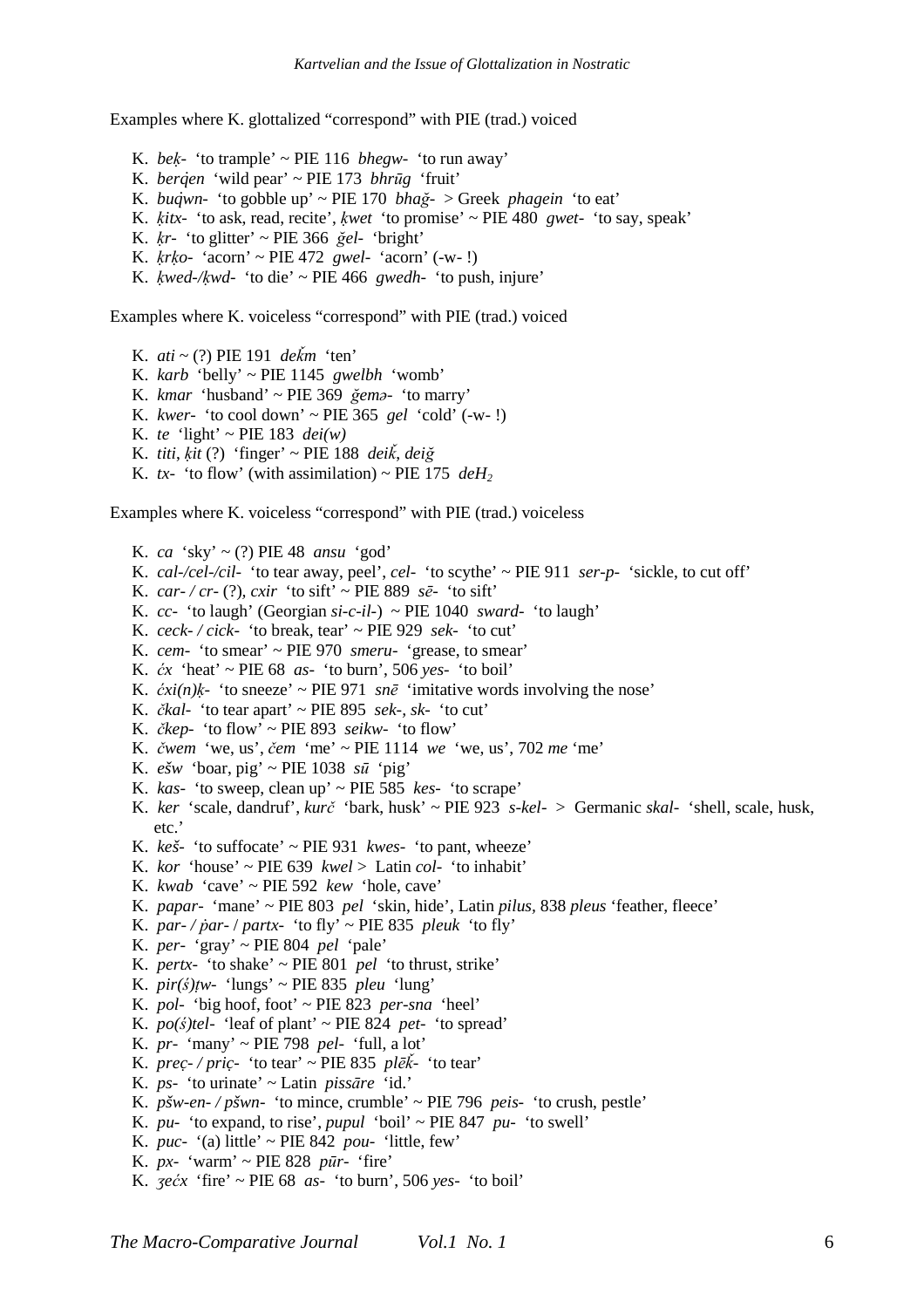Examples where K. glottalized "correspond" with PIE (trad.) voiced

K. *beḳ-* 'to trample' ~ PIE 116 *bhegw-* 'to run away' K. *berq̇en* 'wild pear' ~ PIE 173 *bhrūg* 'fruit' K. *buq̇wn-* 'to gobble up' ~ PIE 170 *bhağ-* > Greek *phagein* 'to eat' K. *ḳitx-* 'to ask, read, recite', *ḳwet* 'to promise' ~ PIE 480 *gwet-* 'to say, speak' K. *ḳr-* 'to glitter' ~ PIE 366 *ğel-* 'bright' K. *ḳrḳo-* 'acorn' ~ PIE 472 *gwel-* 'acorn' (-w- !) K. *ḳwed-/ḳwd-* 'to die' ~ PIE 466 *gwedh-* 'to push, injure'

Examples where K. voiceless "correspond" with PIE (trad.) voiced

- K. *ati* ~ (?) PIE 191 *deǩm* 'ten'
- K. *karb* 'belly' ~ PIE 1145 *gwelbh* 'womb'
- K. *kmar* 'husband' ~ PIE 369 *ğemə-* 'to marry'
- K. *kwer-* 'to cool down' ~ PIE 365 *gel* 'cold' (-w- !)
- K. *te* 'light' ~ PIE 183 *dei(w)*
- K. *titi*, *ḳit* (?) 'finger' ~ PIE 188 *deiǩ*, *deiğ*
- K. *tx* 'to flow' (with assimilation) ~ PIE 175  $deH_2$

Examples where K. voiceless "correspond" with PIE (trad.) voiceless

K. *ca* 'sky' ~ (?) PIE 48 *ansu* 'god' K. *cal-/cel-/cil-* 'to tear away, peel', *cel-* 'to scythe' ~ PIE 911 *ser-p-* 'sickle, to cut off' K. *car-/cr-* (?), *cxir* 'to sift' ~ PIE 889  $s\bar{e}$ - 'to sift' K. *cc-* 'to laugh' (Georgian *si-c-il-*) ~ PIE 1040 *sward-* 'to laugh' K. *ceck- / cick-* 'to break, tear' ~ PIE 929 *sek-* 'to cut' K. *cem-* 'to smear' ~ PIE 970 *smeru-* 'grease, to smear' K. *ćx* 'heat' ~ PIE 68 *as-* 'to burn', 506 *yes-* 'to boil' K.  $\dot{c}xi(n)$ *k*- 'to sneeze' ~ PIE 971 *snē* 'imitative words involving the nose' K. *čkal-* 'to tear apart' ~ PIE 895 *sek-, sk-* 'to cut' K. *čkep-* 'to flow' ~ PIE 893 *seikw-* 'to flow' K. *čwem* 'we, us', *čem* 'me' ~ PIE 1114 *we* 'we, us', 702 *me* 'me' K. *ešw* 'boar, pig' ~ PIE 1038  $s\bar{u}$  'pig' K. *kas-* 'to sweep, clean up' ~ PIE 585 *kes-* 'to scrape' K. *ker* 'scale, dandruf', *kurč* 'bark, husk' ~ PIE 923 *s-kel-* > Germanic *skal-* 'shell, scale, husk, etc.' K. *keš-* 'to suffocate' ~ PIE 931 *kwes-* 'to pant, wheeze' K. *kor* 'house' ~ PIE 639 *kwel* > Latin *col*- 'to inhabit' K. *kwab* 'cave' ~ PIE 592 *kew* 'hole, cave' K. *papar-* 'mane' ~ PIE 803 *pel* 'skin, hide', Latin *pilus,* 838 *pleus* 'feather, fleece' K. *par-* / *partx-* 'to fly' ~ PIE 835 *pleuk* 'to fly' K. *per-* 'gray' ~ PIE 804 *pel* 'pale' K. *pertx-* 'to shake' ~ PIE 801 *pel* 'to thrust, strike' K.  $\pi r(s)$ *tw*- 'lungs' ~ PIE 835 *pleu* 'lung' K. *pol-* 'big hoof, foot' ~ PIE 823 *per-sna* 'heel' K.  $po(\xi)$ tel- 'leaf of plant' ~ PIE 824 *pet*- 'to spread' K. *pr-* 'many' ~ PIE 798 *pel-* 'full, a lot' K. *prec- / pric ̣ - ̣* 'to tear' ~ PIE 835 *plēǩ-* 'to tear' K. *ps-* 'to urinate' ~ Latin *pissāre* 'id.' K. *pšw-en- / pšwn-* 'to mince, crumble' ~ PIE 796 *peis-* 'to crush, pestle' K. *pu-* 'to expand, to rise', *pupul* 'boil' ~ PIE 847 *pu-* 'to swell' K. *puc-* '(a) little' ~ PIE 842 *pou-* 'little, few' K. *px-* 'warm' ~ PIE 828 *pūr-* 'fire' K. *ʒećx* 'fire' ~ PIE 68 *as-* 'to burn', 506 *yes-* 'to boil'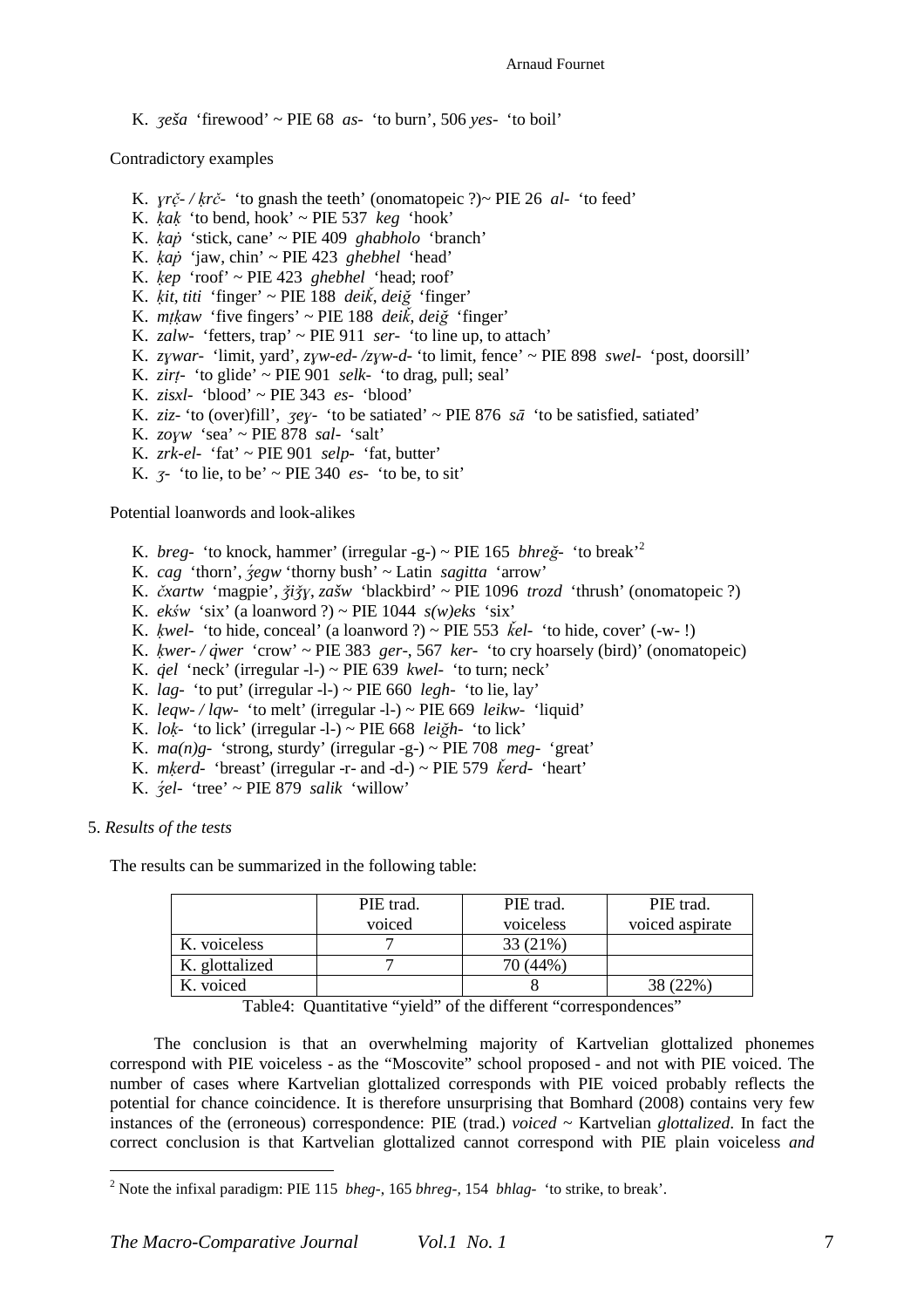K. *ʒeša* 'firewood' ~ PIE 68 *as-* 'to burn', 506 *yes-* 'to boil'

Contradictory examples

- K. *ɣrč / ̣ ḳrč-* 'to gnash the teeth' (onomatopeic ?)~ PIE 26 *al-* 'to feed'
- K.  $kak$  'to bend, hook'  $\sim$  PIE 537  $keg$  'hook'
- K. *ḳaṗ* 'stick, cane' ~ PIE 409 *ghabholo* 'branch'
- K. *ḳaṗ* 'jaw, chin' ~ PIE 423 *ghebhel* 'head'
- K. *ḳep* 'roof' ~ PIE 423 *ghebhel* 'head; roof'
- K. *ḳit*, *titi* 'finger' ~ PIE 188 *deiǩ*, *deiğ* 'finger'
- K. *mṭḳaw* 'five fingers' ~ PIE 188 *deiǩ*, *deiğ* 'finger'
- K. *zalw-* 'fetters, trap' ~ PIE 911 *ser-* 'to line up, to attach'
- K. *zɣwar-* 'limit, yard', *zɣw-ed- /zɣw-d-* 'to limit, fence' ~ PIE 898 *swel-* 'post, doorsill'
- K. *zirṭ* 'to glide' ~ PIE 901 *selk-* 'to drag, pull; seal'
- K. *zisxl-* 'blood' ~ PIE 343 *es-* 'blood'
- K. *ziz* 'to (over)fill', *zey* 'to be satiated'  $\sim$  PIE 876 *sa* 'to be satisfied, satiated'
- K. *zoɣw* 'sea' ~ PIE 878 *sal-* 'salt'
- K. *zrk-el-* 'fat' ~ PIE 901 *selp-* 'fat, butter'
- K.  $\zeta$ <sup>-</sup> 'to lie, to be' ~ PIE 340 *es* 'to be, to sit'

Potential loanwords and look-alikes

- K. *breg-* 'to knock, hammer' (irregular -g-) ~ PIE 165 *bhreğ-* 'to break'<sup>2</sup>
- K. *cag* 'thorn', *ʒ́egw* 'thorny bush' ~ Latin *sagitta* 'arrow'
- K. *čxartw* 'magpie', *ǯiǯɣ*, *zašw* 'blackbird' ~ PIE 1096 *trozd* 'thrush' (onomatopeic ?)
- K. *ekśw* 'six' (a loanword ?) ~ PIE 1044  $s(w)$ eks 'six'
- K. *kwel-* 'to hide, conceal' (a loanword ?) ~ PIE 553 *Kel-* 'to hide, cover' (-w-!)
- K. *ḳwer- / q̇wer* 'crow' ~ PIE 383 *ger-*, 567 *ker-* 'to cry hoarsely (bird)' (onomatopeic)
- K.  $\dot{q}el$  'neck' (irregular -l-) ~ PIE 639 *kwel* 'to turn; neck'
- K. *lag-* 'to put' (irregular -l-) ~ PIE 660 *legh-* 'to lie, lay'
- K. *leqw- / lqw-* 'to melt' (irregular -l-) ~ PIE 669 *leikw-* 'liquid'
- K. *loḳ-* 'to lick' (irregular -l-) ~ PIE 668 *leiğh-* 'to lick'
- K.  $ma(n)g$  'strong, sturdy' (irregular -g-) ~ PIE 708  $meq$  'great'
- K. *mḳerd-* 'breast' (irregular -r- and -d-) ~ PIE 579 *ǩerd-* 'heart'
- K. *ʒ́el-* 'tree' ~ PIE 879 *salik* 'willow'

5. *Results of the tests* 

 $\overline{a}$ 

The results can be summarized in the following table:

|                | PIE trad. | PIE trad.                      | PIE trad.                             |
|----------------|-----------|--------------------------------|---------------------------------------|
|                | voiced    | voiceless                      | voiced aspirate                       |
| K. voiceless   |           | 33 (21%)                       |                                       |
| K. glottalized |           | 70 (44%)                       |                                       |
| K. voiced      |           |                                | 38 (22%)                              |
| ____<br>$\sim$ | .<br>. .  | $\cdots$<br>$\sim$ $\sim$<br>. | $\ddot{\phantom{1}}$<br>$\sim$ $\sim$ |

Table4: Quantitative "yield" of the different "correspondences"

The conclusion is that an overwhelming majority of Kartvelian glottalized phonemes correspond with PIE voiceless - as the "Moscovite" school proposed - and not with PIE voiced. The number of cases where Kartvelian glottalized corresponds with PIE voiced probably reflects the potential for chance coincidence. It is therefore unsurprising that Bomhard (2008) contains very few instances of the (erroneous) correspondence: PIE (trad.) *voiced* ~ Kartvelian *glottalized*. In fact the correct conclusion is that Kartvelian glottalized cannot correspond with PIE plain voiceless *and*

<sup>2</sup> Note the infixal paradigm: PIE 115 *bheg-*, 165 *bhreg-,* 154 *bhlag-* 'to strike, to break'.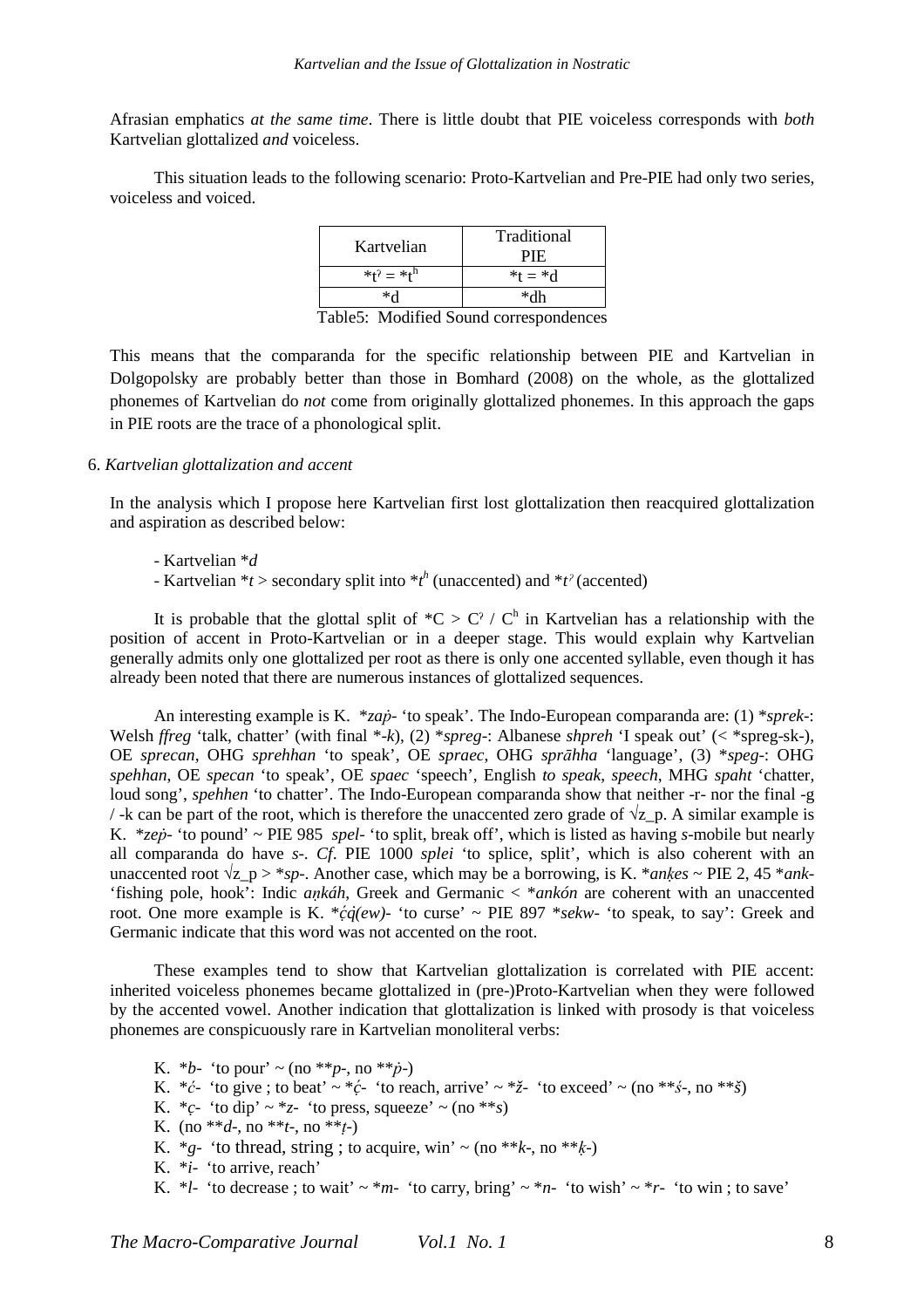Afrasian emphatics *at the same time*. There is little doubt that PIE voiceless corresponds with *both* Kartvelian glottalized *and* voiceless.

This situation leads to the following scenario: Proto-Kartvelian and Pre-PIE had only two series, voiceless and voiced.

| Kartvelian        | Traditional<br><b>PIE</b> |
|-------------------|---------------------------|
| $*t^2 = *t^h$     | $^{*}t = ^*d$             |
| ∗√                | *dh                       |
| ---<br>- -<br>. . | ۰                         |

Table5: Modified Sound correspondences

This means that the comparanda for the specific relationship between PIE and Kartvelian in Dolgopolsky are probably better than those in Bomhard (2008) on the whole, as the glottalized phonemes of Kartvelian do *not* come from originally glottalized phonemes. In this approach the gaps in PIE roots are the trace of a phonological split.

### 6. *Kartvelian glottalization and accent*

In the analysis which I propose here Kartvelian first lost glottalization then reacquired glottalization and aspiration as described below:

- Kartvelian \**d*

- Kartvelian  $*$ *t* > secondary split into  $*$ *t*<sup>*h*</sup> (unaccented) and  $*$ *t*<sup> $>$ </sup> (accented)

It is probable that the glottal split of  $^{\ast}C > C^{\gamma} / C^{\beta}$  in Kartvelian has a relationship with the position of accent in Proto-Kartvelian or in a deeper stage. This would explain why Kartvelian generally admits only one glottalized per root as there is only one accented syllable, even though it has already been noted that there are numerous instances of glottalized sequences.

An interesting example is K. \**zaṗ-* 'to speak'. The Indo-European comparanda are: (1) \**sprek*-: Welsh *ffreg* 'talk, chatter' (with final \*-*k*), (2) \**spreg*-: Albanese *shpreh* 'I speak out' (< \*spreg-sk-), OE *sprecan*, OHG *sprehhan* 'to speak', OE *spraec*, OHG *sprāhha* 'language', (3) \**speg*-: OHG *spehhan*, OE *specan* 'to speak', OE *spaec* 'speech', English *to speak*, *speech*, MHG *spaht* 'chatter, loud song', *spehhen* 'to chatter'. The Indo-European comparanda show that neither -r- nor the final -g / -k can be part of the root, which is therefore the unaccented zero grade of  $\sqrt{z}$  p. A similar example is K. \**zeṗ-* 'to pound' ~ PIE 985 *spel-* 'to split, break off', which is listed as having *s*-mobile but nearly all comparanda do have *s*-. *Cf*. PIE 1000 *splei* 'to splice, split', which is also coherent with an unaccented root  $\sqrt{z_p} > *sp$ . Another case, which may be a borrowing, is K. \**ankes* ~ PIE 2, 45 \**ank*-'fishing pole, hook': Indic *aṇkáh*, Greek and Germanic < \**ankón* are coherent with an unaccented root. One more example is K.  $*\dot{c}\dot{q}(ew)$ - 'to curse' ~ PIE 897  $*sekw$ - 'to speak, to say': Greek and Germanic indicate that this word was not accented on the root.

These examples tend to show that Kartvelian glottalization is correlated with PIE accent: inherited voiceless phonemes became glottalized in (pre-)Proto-Kartvelian when they were followed by the accented vowel. Another indication that glottalization is linked with prosody is that voiceless phonemes are conspicuously rare in Kartvelian monoliteral verbs:

K. \**b*- 'to pour' ~ (no \*\**p*-, no \*\**p*-)

K.  $*c$ - 'to give ; to beat'  $\sim *c$ - 'to reach, arrive'  $\sim *z$ - 'to exceed'  $\sim$  (no  $**s$ -, no  $**s$ )

- K.  $^*c$  'to dip'  $\sim$   $^*z$  'to press, squeeze'  $\sim$  (no  $^{**}s$ )
- K. (no  $**d$ -, no  $**t$ -, no  $**t$ -)
- K.  $*_g$  'to thread, string ; to acquire, win'  $\sim$  (no  $**k$ , no  $**k$ )
- K. \**i* 'to arrive, reach'

```
K. *l- 'to decrease; to wait' ~ *m- 'to carry, bring' ~ *n- 'to wish' ~ *r- 'to win; to save'
```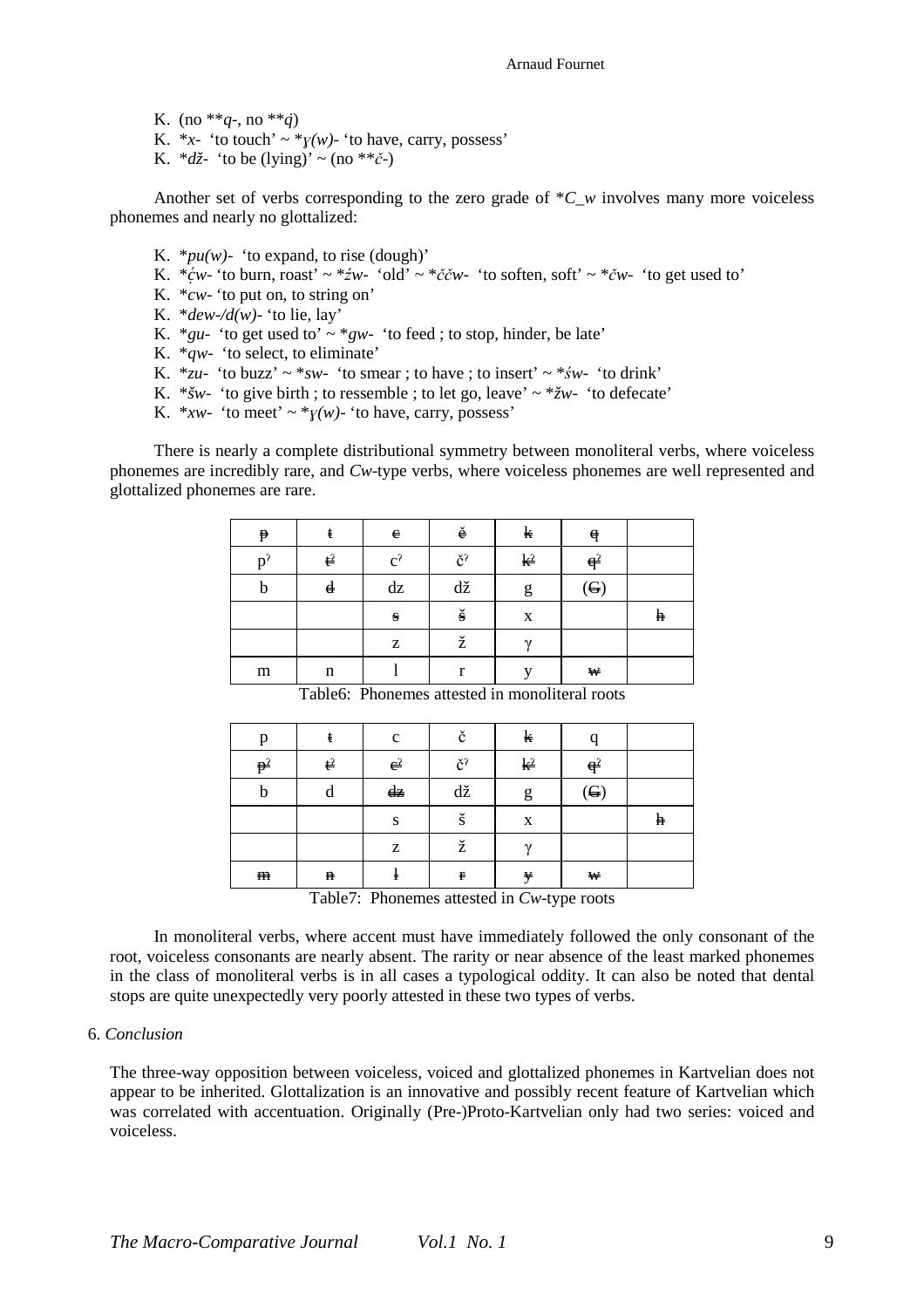K. (no \*\* $q$ -, no \*\* $\dot{q}$ ) K.  $*_x$ - 'to touch'  $\sim *_y(w)$ - 'to have, carry, possess' K.  $*d\zeta$ - 'to be (lying)' ~ (no \*\* $\zeta$ -)

Another set of verbs corresponding to the zero grade of  $*C$  w involves many more voiceless phonemes and nearly no glottalized:

- K.  $*pu(w)$  'to expand, to rise (dough)'
- K.  $* \acute{c}w$  'to burn, roast' ~  $* \acute{z}w$  'old' ~  $* \check{c}w$  'to soften, soft' ~  $* \acute{c}w$  'to get used to'
- K. \**cw* 'to put on, to string on'
- K.  $*dew-\angle d(w)$  'to lie, lay'
- K. \**gu* 'to get used to'  $\sim$  \**gw* 'to feed ; to stop, hinder, be late'
- K. \**qw* 'to select, to eliminate'
- K.  $*zu-$  'to buzz'  $\sim *sw-$  'to smear ; to have ; to insert'  $\sim *sw-$  'to drink'
- K. \**šw* 'to give birth ; to ressemble ; to let go, leave'  $\sim$  \* $\zeta w$  'to defecate'
- K. \**xw* 'to meet'  $\sim$  \**y*(*w*)- 'to have, carry, possess'

There is nearly a complete distributional symmetry between monoliteral verbs, where voiceless phonemes are incredibly rare, and *Cw*-type verbs, where voiceless phonemes are well represented and glottalized phonemes are rare.

| $\mathbf p$ | ŧ                | $\mathbf{e}$ | ě                              | k              | $\mathbf q$                |   |
|-------------|------------------|--------------|--------------------------------|----------------|----------------------------|---|
| $D^2$       | $\mathfrak{t}^2$ | $c^2$        | č <sup>?</sup>                 | $\mathbf{k}^2$ | $q^2$                      |   |
| b           | $\mathbf d$      | dz           | $\mathrm{d}\check{\mathrm{z}}$ | g              | $\left( \mathbf{G}\right)$ |   |
|             |                  | $\bf S$      | $\check{\mathbf{s}}$           | $\mathbf X$    |                            | h |
|             |                  | Z            | ž                              | $\gamma$       |                            |   |
| m           | n                |              | r                              |                | $\mathbf{W}$               |   |

Table6: Phonemes attested in monoliteral roots

| p              | ŧ              | $\mathbf c$   | č                      | k              | $\Omega$              |   |
|----------------|----------------|---------------|------------------------|----------------|-----------------------|---|
| p <sup>2</sup> | $\mathbf{t}^2$ | $e^2$         | $\check{\mathrm{c}}^2$ | k <sup>2</sup> | $\theta$ <sup>2</sup> |   |
| b              | d              | $d\mathbf{z}$ | dž                     | g              | $\left( G\right)$     |   |
|                |                | S             | š                      | X              |                       | h |
|                |                | Z             | ž                      | $\gamma$       |                       |   |
| ${\bf m}$      | $\mathbf n$    | ł             | $\mathbf r$            | y              | $\mathbf{W}$          |   |

Table7: Phonemes attested in *Cw*-type roots

In monoliteral verbs, where accent must have immediately followed the only consonant of the root, voiceless consonants are nearly absent. The rarity or near absence of the least marked phonemes in the class of monoliteral verbs is in all cases a typological oddity. It can also be noted that dental stops are quite unexpectedly very poorly attested in these two types of verbs.

### 6. *Conclusion*

The three-way opposition between voiceless, voiced and glottalized phonemes in Kartvelian does not appear to be inherited. Glottalization is an innovative and possibly recent feature of Kartvelian which was correlated with accentuation. Originally (Pre-)Proto-Kartvelian only had two series: voiced and voiceless.